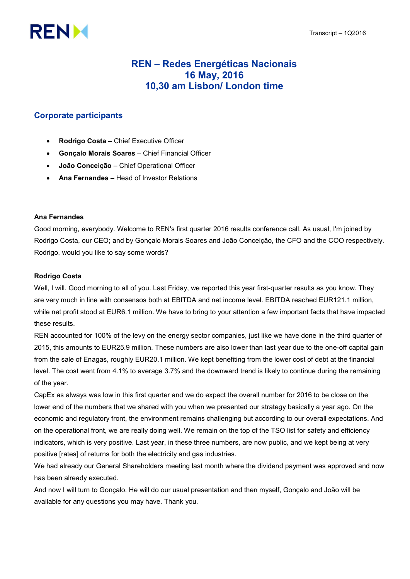# **RENM**

# REN – Redes Energéticas Nacionais 16 May, 2016 10,30 am Lisbon/ London time

# Corporate participants

- Rodrigo Costa Chief Executive Officer
- Gonçalo Morais Soares Chief Financial Officer
- João Conceição Chief Operational Officer
- Ana Fernandes Head of Investor Relations

# Ana Fernandes

Good morning, everybody. Welcome to REN's first quarter 2016 results conference call. As usual, I'm joined by Rodrigo Costa, our CEO; and by Gonçalo Morais Soares and João Conceição, the CFO and the COO respectively. Rodrigo, would you like to say some words?

# Rodrigo Costa

Well, I will. Good morning to all of you. Last Friday, we reported this year first-quarter results as you know. They are very much in line with consensos both at EBITDA and net income level. EBITDA reached EUR121.1 million, while net profit stood at EUR6.1 million. We have to bring to your attention a few important facts that have impacted these results.

REN accounted for 100% of the levy on the energy sector companies, just like we have done in the third quarter of 2015, this amounts to EUR25.9 million. These numbers are also lower than last year due to the one-off capital gain from the sale of Enagas, roughly EUR20.1 million. We kept benefiting from the lower cost of debt at the financial level. The cost went from 4.1% to average 3.7% and the downward trend is likely to continue during the remaining of the year.

CapEx as always was low in this first quarter and we do expect the overall number for 2016 to be close on the lower end of the numbers that we shared with you when we presented our strategy basically a year ago. On the economic and regulatory front, the environment remains challenging but according to our overall expectations. And on the operational front, we are really doing well. We remain on the top of the TSO list for safety and efficiency indicators, which is very positive. Last year, in these three numbers, are now public, and we kept being at very positive [rates] of returns for both the electricity and gas industries.

We had already our General Shareholders meeting last month where the dividend payment was approved and now has been already executed.

And now I will turn to Gonçalo. He will do our usual presentation and then myself, Gonçalo and João will be available for any questions you may have. Thank you.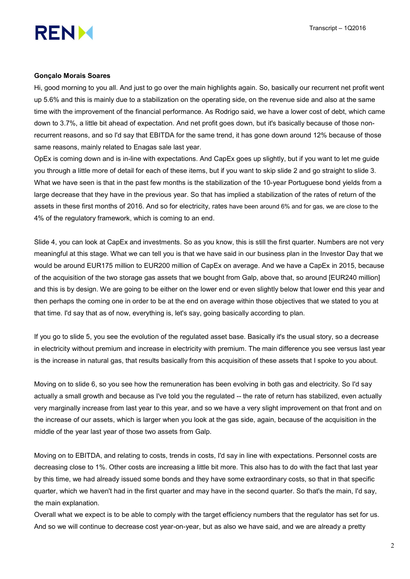

#### Gonçalo Morais Soares

Hi, good morning to you all. And just to go over the main highlights again. So, basically our recurrent net profit went up 5.6% and this is mainly due to a stabilization on the operating side, on the revenue side and also at the same time with the improvement of the financial performance. As Rodrigo said, we have a lower cost of debt, which came down to 3.7%, a little bit ahead of expectation. And net profit goes down, but it's basically because of those nonrecurrent reasons, and so I'd say that EBITDA for the same trend, it has gone down around 12% because of those same reasons, mainly related to Enagas sale last year.

OpEx is coming down and is in-line with expectations. And CapEx goes up slightly, but if you want to let me guide you through a little more of detail for each of these items, but if you want to skip slide 2 and go straight to slide 3. What we have seen is that in the past few months is the stabilization of the 10-year Portuguese bond yields from a large decrease that they have in the previous year. So that has implied a stabilization of the rates of return of the assets in these first months of 2016. And so for electricity, rates have been around 6% and for gas, we are close to the 4% of the regulatory framework, which is coming to an end.

Slide 4, you can look at CapEx and investments. So as you know, this is still the first quarter. Numbers are not very meaningful at this stage. What we can tell you is that we have said in our business plan in the Investor Day that we would be around EUR175 million to EUR200 million of CapEx on average. And we have a CapEx in 2015, because of the acquisition of the two storage gas assets that we bought from Galp, above that, so around [EUR240 million] and this is by design. We are going to be either on the lower end or even slightly below that lower end this year and then perhaps the coming one in order to be at the end on average within those objectives that we stated to you at that time. I'd say that as of now, everything is, let's say, going basically according to plan.

If you go to slide 5, you see the evolution of the regulated asset base. Basically it's the usual story, so a decrease in electricity without premium and increase in electricity with premium. The main difference you see versus last year is the increase in natural gas, that results basically from this acquisition of these assets that I spoke to you about.

Moving on to slide 6, so you see how the remuneration has been evolving in both gas and electricity. So I'd say actually a small growth and because as I've told you the regulated -- the rate of return has stabilized, even actually very marginally increase from last year to this year, and so we have a very slight improvement on that front and on the increase of our assets, which is larger when you look at the gas side, again, because of the acquisition in the middle of the year last year of those two assets from Galp.

Moving on to EBITDA, and relating to costs, trends in costs, I'd say in line with expectations. Personnel costs are decreasing close to 1%. Other costs are increasing a little bit more. This also has to do with the fact that last year by this time, we had already issued some bonds and they have some extraordinary costs, so that in that specific quarter, which we haven't had in the first quarter and may have in the second quarter. So that's the main, I'd say, the main explanation.

Overall what we expect is to be able to comply with the target efficiency numbers that the regulator has set for us. And so we will continue to decrease cost year-on-year, but as also we have said, and we are already a pretty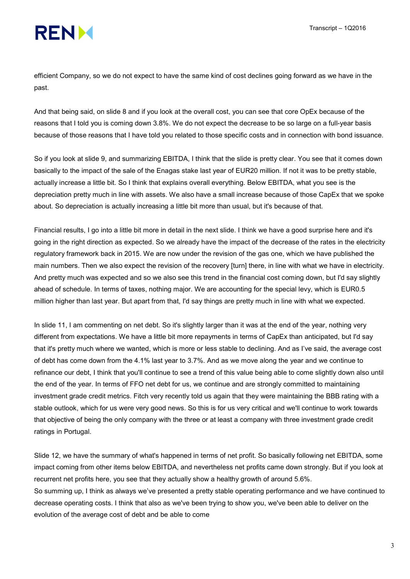efficient Company, so we do not expect to have the same kind of cost declines going forward as we have in the past.

And that being said, on slide 8 and if you look at the overall cost, you can see that core OpEx because of the reasons that I told you is coming down 3.8%. We do not expect the decrease to be so large on a full-year basis because of those reasons that I have told you related to those specific costs and in connection with bond issuance.

So if you look at slide 9, and summarizing EBITDA, I think that the slide is pretty clear. You see that it comes down basically to the impact of the sale of the Enagas stake last year of EUR20 million. If not it was to be pretty stable, actually increase a little bit. So I think that explains overall everything. Below EBITDA, what you see is the depreciation pretty much in line with assets. We also have a small increase because of those CapEx that we spoke about. So depreciation is actually increasing a little bit more than usual, but it's because of that.

Financial results, I go into a little bit more in detail in the next slide. I think we have a good surprise here and it's going in the right direction as expected. So we already have the impact of the decrease of the rates in the electricity regulatory framework back in 2015. We are now under the revision of the gas one, which we have published the main numbers. Then we also expect the revision of the recovery [turn] there, in line with what we have in electricity. And pretty much was expected and so we also see this trend in the financial cost coming down, but I'd say slightly ahead of schedule. In terms of taxes, nothing major. We are accounting for the special levy, which is EUR0.5 million higher than last year. But apart from that, I'd say things are pretty much in line with what we expected.

In slide 11, I am commenting on net debt. So it's slightly larger than it was at the end of the year, nothing very different from expectations. We have a little bit more repayments in terms of CapEx than anticipated, but I'd say that it's pretty much where we wanted, which is more or less stable to declining. And as I've said, the average cost of debt has come down from the 4.1% last year to 3.7%. And as we move along the year and we continue to refinance our debt, I think that you'll continue to see a trend of this value being able to come slightly down also until the end of the year. In terms of FFO net debt for us, we continue and are strongly committed to maintaining investment grade credit metrics. Fitch very recently told us again that they were maintaining the BBB rating with a stable outlook, which for us were very good news. So this is for us very critical and we'll continue to work towards that objective of being the only company with the three or at least a company with three investment grade credit ratings in Portugal.

Slide 12, we have the summary of what's happened in terms of net profit. So basically following net EBITDA, some impact coming from other items below EBITDA, and nevertheless net profits came down strongly. But if you look at recurrent net profits here, you see that they actually show a healthy growth of around 5.6%. So summing up, I think as always we've presented a pretty stable operating performance and we have continued to decrease operating costs. I think that also as we've been trying to show you, we've been able to deliver on the

evolution of the average cost of debt and be able to come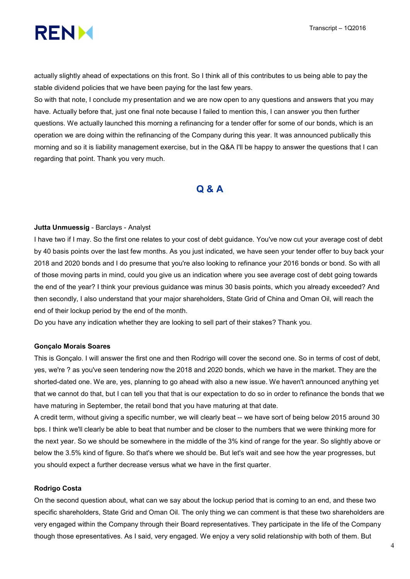



actually slightly ahead of expectations on this front. So I think all of this contributes to us being able to pay the stable dividend policies that we have been paying for the last few years.

So with that note, I conclude my presentation and we are now open to any questions and answers that you may have. Actually before that, just one final note because I failed to mention this, I can answer you then further questions. We actually launched this morning a refinancing for a tender offer for some of our bonds, which is an operation we are doing within the refinancing of the Company during this year. It was announced publically this morning and so it is liability management exercise, but in the Q&A I'll be happy to answer the questions that I can regarding that point. Thank you very much.

# Q & A

# Jutta Unmuessig - Barclays - Analyst

I have two if I may. So the first one relates to your cost of debt guidance. You've now cut your average cost of debt by 40 basis points over the last few months. As you just indicated, we have seen your tender offer to buy back your 2018 and 2020 bonds and I do presume that you're also looking to refinance your 2016 bonds or bond. So with all of those moving parts in mind, could you give us an indication where you see average cost of debt going towards the end of the year? I think your previous guidance was minus 30 basis points, which you already exceeded? And then secondly, I also understand that your major shareholders, State Grid of China and Oman Oil, will reach the end of their lockup period by the end of the month.

Do you have any indication whether they are looking to sell part of their stakes? Thank you.

#### Gonçalo Morais Soares

This is Gonçalo. I will answer the first one and then Rodrigo will cover the second one. So in terms of cost of debt, yes, we're ? as you've seen tendering now the 2018 and 2020 bonds, which we have in the market. They are the shorted-dated one. We are, yes, planning to go ahead with also a new issue. We haven't announced anything yet that we cannot do that, but I can tell you that that is our expectation to do so in order to refinance the bonds that we have maturing in September, the retail bond that you have maturing at that date.

A credit term, without giving a specific number, we will clearly beat -- we have sort of being below 2015 around 30 bps. I think we'll clearly be able to beat that number and be closer to the numbers that we were thinking more for the next year. So we should be somewhere in the middle of the 3% kind of range for the year. So slightly above or below the 3.5% kind of figure. So that's where we should be. But let's wait and see how the year progresses, but you should expect a further decrease versus what we have in the first quarter.

#### Rodrigo Costa

On the second question about, what can we say about the lockup period that is coming to an end, and these two specific shareholders, State Grid and Oman Oil. The only thing we can comment is that these two shareholders are very engaged within the Company through their Board representatives. They participate in the life of the Company though those epresentatives. As I said, very engaged. We enjoy a very solid relationship with both of them. But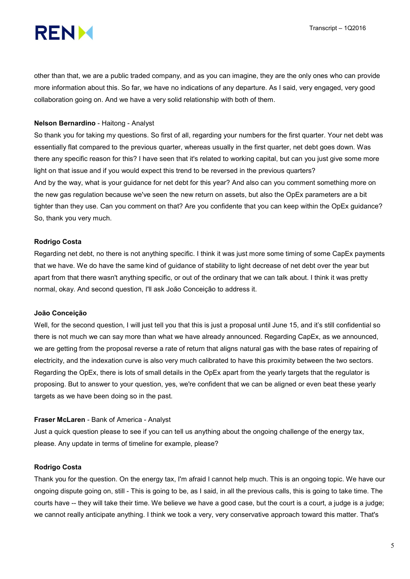

other than that, we are a public traded company, and as you can imagine, they are the only ones who can provide more information about this. So far, we have no indications of any departure. As I said, very engaged, very good collaboration going on. And we have a very solid relationship with both of them.

# Nelson Bernardino - Haitong - Analyst

So thank you for taking my questions. So first of all, regarding your numbers for the first quarter. Your net debt was essentially flat compared to the previous quarter, whereas usually in the first quarter, net debt goes down. Was there any specific reason for this? I have seen that it's related to working capital, but can you just give some more light on that issue and if you would expect this trend to be reversed in the previous quarters? And by the way, what is your guidance for net debt for this year? And also can you comment something more on the new gas regulation because we've seen the new return on assets, but also the OpEx parameters are a bit tighter than they use. Can you comment on that? Are you confidente that you can keep within the OpEx guidance? So, thank you very much.

# Rodrigo Costa

Regarding net debt, no there is not anything specific. I think it was just more some timing of some CapEx payments that we have. We do have the same kind of guidance of stability to light decrease of net debt over the year but apart from that there wasn't anything specific, or out of the ordinary that we can talk about. I think it was pretty normal, okay. And second question, I'll ask João Conceição to address it.

# João Conceição

Well, for the second question, I will just tell you that this is just a proposal until June 15, and it's still confidential so there is not much we can say more than what we have already announced. Regarding CapEx, as we announced, we are getting from the proposal reverse a rate of return that aligns natural gas with the base rates of repairing of electricity, and the indexation curve is also very much calibrated to have this proximity between the two sectors. Regarding the OpEx, there is lots of small details in the OpEx apart from the yearly targets that the regulator is proposing. But to answer to your question, yes, we're confident that we can be aligned or even beat these yearly targets as we have been doing so in the past.

# Fraser McLaren - Bank of America - Analyst

Just a quick question please to see if you can tell us anything about the ongoing challenge of the energy tax, please. Any update in terms of timeline for example, please?

# Rodrigo Costa

Thank you for the question. On the energy tax, I'm afraid I cannot help much. This is an ongoing topic. We have our ongoing dispute going on, still - This is going to be, as I said, in all the previous calls, this is going to take time. The courts have -- they will take their time. We believe we have a good case, but the court is a court, a judge is a judge; we cannot really anticipate anything. I think we took a very, very conservative approach toward this matter. That's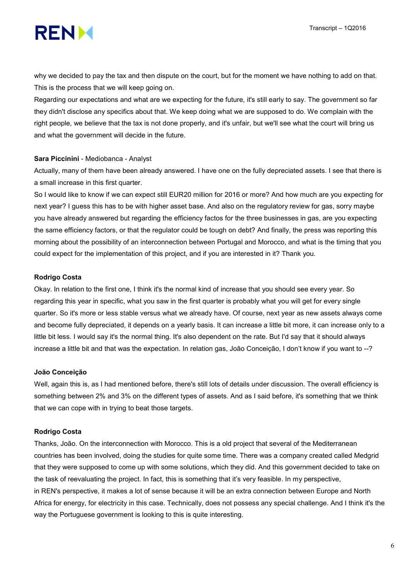

why we decided to pay the tax and then dispute on the court, but for the moment we have nothing to add on that. This is the process that we will keep going on.

Regarding our expectations and what are we expecting for the future, it's still early to say. The government so far they didn't disclose any specifics about that. We keep doing what we are supposed to do. We complain with the right people, we believe that the tax is not done properly, and it's unfair, but we'll see what the court will bring us and what the government will decide in the future.

#### Sara Piccinini - Mediobanca - Analyst

Actually, many of them have been already answered. I have one on the fully depreciated assets. I see that there is a small increase in this first quarter.

So I would like to know if we can expect still EUR20 million for 2016 or more? And how much are you expecting for next year? I guess this has to be with higher asset base. And also on the regulatory review for gas, sorry maybe you have already answered but regarding the efficiency factos for the three businesses in gas, are you expecting the same efficiency factors, or that the regulator could be tough on debt? And finally, the press was reporting this morning about the possibility of an interconnection between Portugal and Morocco, and what is the timing that you could expect for the implementation of this project, and if you are interested in it? Thank you.

#### Rodrigo Costa

Okay. In relation to the first one, I think it's the normal kind of increase that you should see every year. So regarding this year in specific, what you saw in the first quarter is probably what you will get for every single quarter. So it's more or less stable versus what we already have. Of course, next year as new assets always come and become fully depreciated, it depends on a yearly basis. It can increase a little bit more, it can increase only to a little bit less. I would say it's the normal thing. It's also dependent on the rate. But I'd say that it should always increase a little bit and that was the expectation. In relation gas, João Conceição, I don't know if you want to --?

#### João Conceição

Well, again this is, as I had mentioned before, there's still lots of details under discussion. The overall efficiency is something between 2% and 3% on the different types of assets. And as I said before, it's something that we think that we can cope with in trying to beat those targets.

#### Rodrigo Costa

Thanks, João. On the interconnection with Morocco. This is a old project that several of the Mediterranean countries has been involved, doing the studies for quite some time. There was a company created called Medgrid that they were supposed to come up with some solutions, which they did. And this government decided to take on the task of reevaluating the project. In fact, this is something that it's very feasible. In my perspective, in REN's perspective, it makes a lot of sense because it will be an extra connection between Europe and North Africa for energy, for electricity in this case. Technically, does not possess any special challenge. And I think it's the way the Portuguese government is looking to this is quite interesting.